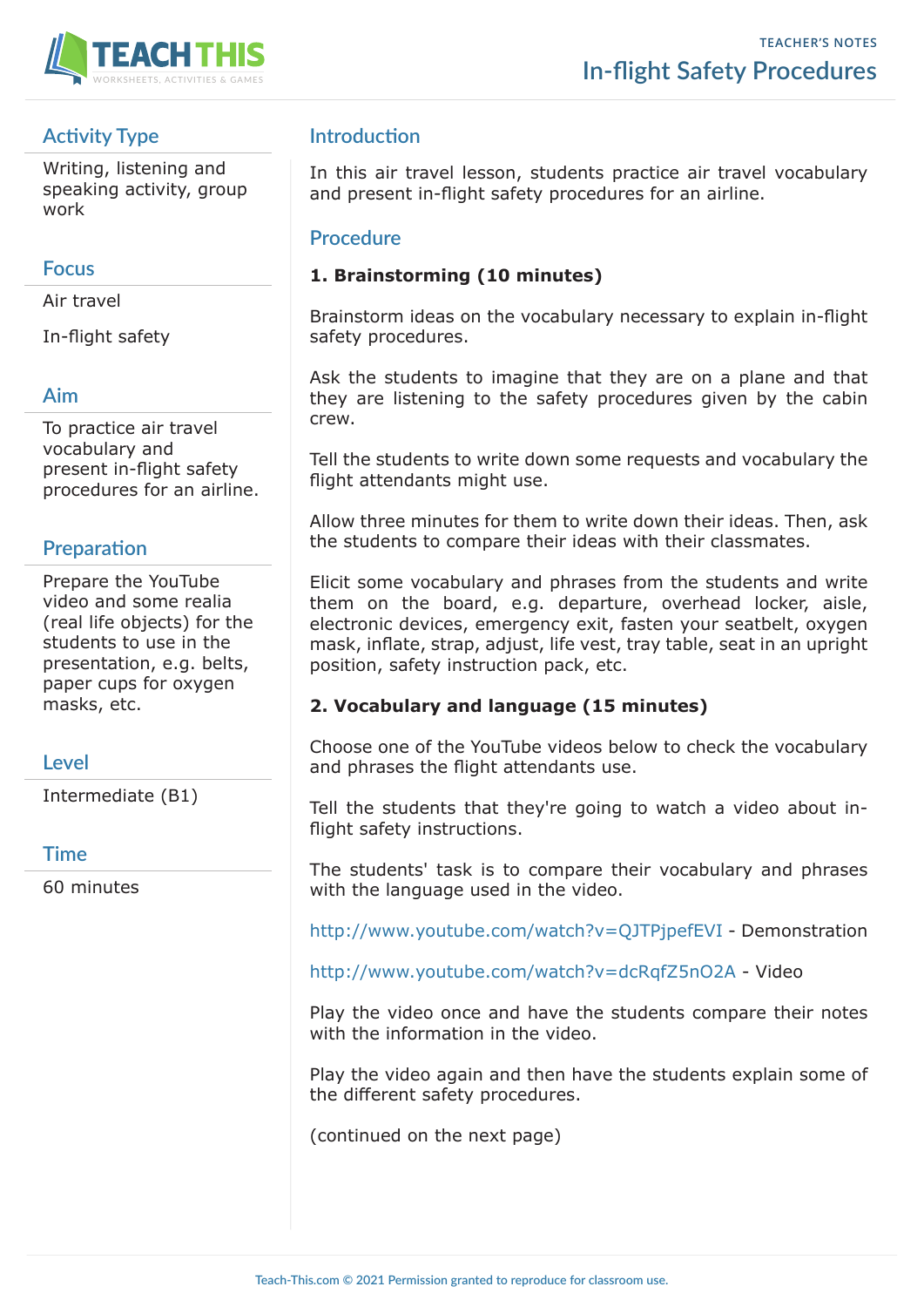

# **Activity Type**

Writing, listening and speaking activity, group work

### **Focus**

Air travel

In-flight safety

### **Aim**

To practice air travel vocabulary and present in-flight safety procedures for an airline.

## **Preparation**

Prepare the YouTube video and some realia (real life objects) for the students to use in the presentation, e.g. belts, paper cups for oxygen masks, etc.

### **Level**

Intermediate (B1)

#### **Time**

60 minutes

# **Introduction**

In this air travel lesson, students practice air travel vocabulary and present in-flight safety procedures for an airline.

#### **Procedure**

### **1. Brainstorming (10 minutes)**

Brainstorm ideas on the vocabulary necessary to explain in-flight safety procedures.

Ask the students to imagine that they are on a plane and that they are listening to the safety procedures given by the cabin crew.

Tell the students to write down some requests and vocabulary the flight attendants might use.

Allow three minutes for them to write down their ideas. Then, ask the students to compare their ideas with their classmates.

Elicit some vocabulary and phrases from the students and write them on the board, e.g. departure, overhead locker, aisle, electronic devices, emergency exit, fasten your seatbelt, oxygen mask, inflate, strap, adjust, life vest, tray table, seat in an upright position, safety instruction pack, etc.

### **2. Vocabulary and language (15 minutes)**

Choose one of the YouTube videos below to check the vocabulary and phrases the flight attendants use.

Tell the students that they're going to watch a video about inflight safety instructions.

The students' task is to compare their vocabulary and phrases with the language used in the video.

http://www.youtube.com/watch?v=QJTPjpefEVI - Demonstration

http://www.youtube.com/watch?v=dcRqfZ5nO2A - Video

Play the video once and have the students compare their notes with the information in the video.

Play the video again and then have the students explain some of the different safety procedures.

(continued on the next page)